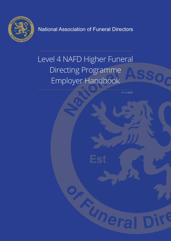

National Association of Funeral Directors

# Level 4 NAFD Higher Funeral Directing Programme Employer Handbook

V1/ L4 DipFD

Uner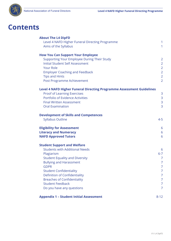

## **Contents**

| <b>About The L4 DipFD</b>                                                    |                                  |
|------------------------------------------------------------------------------|----------------------------------|
| Level 4 NAFD Higher Funeral Directing Programme<br>Aims of the Syllabus      | $\mathbf{1}$<br>1                |
|                                                                              |                                  |
| <b>How You Can Support Your Employee</b>                                     |                                  |
| Supporting Your Employee During Their Study                                  | $\overline{2}$                   |
| <b>Initial Student Self Assessment</b>                                       | $\overline{2}$                   |
| <b>Your Role</b><br><b>Employer Coaching and Feedback</b>                    | $\overline{2}$<br>$\overline{2}$ |
| <b>Tips and Hints</b>                                                        | $\overline{2}$                   |
| Post Programme Achievement                                                   | $\overline{2}$                   |
| <b>Level 4 NAFD Higher Funeral Directing Programme Assessment Guidelines</b> |                                  |
| <b>Proof of Learning Exercises</b>                                           | 3                                |
| Portfolio of Evidence Activities                                             | $\mathsf{3}$                     |
| <b>Final Written Assessment</b>                                              | 3                                |
| <b>Oral Examination</b>                                                      | 3                                |
| <b>Development of Skills and Competences</b>                                 |                                  |
| <b>Syllabus Outline</b>                                                      | $4 - 5$                          |
| <b>Eligibility for Assessment</b>                                            | 6                                |
| <b>Literacy and Numeracy</b>                                                 | 6                                |
| <b>NAFD Approved Tutors</b>                                                  | 6                                |
| <b>Student Support and Welfare</b>                                           |                                  |
| <b>Students with Additional Needs</b>                                        | 6                                |
| Plagiarism                                                                   | $6 - 7$                          |
| <b>Student Equality and Diversity</b>                                        | 7                                |
| <b>Bullying and Harassment</b><br><b>GDPR</b>                                | $\overline{7}$<br>7              |
| <b>Student Confidentiality</b>                                               | 7                                |
| <b>Definition of Confidentiality</b>                                         | 7                                |
| <b>Breaches of Confidentiality</b>                                           | 7                                |
| <b>Student Feedback</b>                                                      | 7                                |
| Do you have any questions                                                    | $\overline{7}$                   |
| <b>Appendix 1 - Student Initial Assessment</b>                               | $8 - 12$                         |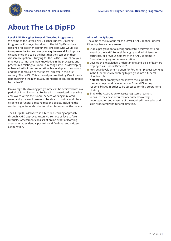

## **About The L4 DipFD**

### **Level 4 NAFD Higher Funeral Directing Programme**

Welcome to the Level 4 NAFD Higher Funeral Directing Programme Employer Handbook. The L4 DipFD has been designed for experienced funeral directors who would like to aspire to the top and study to acquire new skills, improve existing ones and to be the best that they can be in their chosen occupation. Studying for the L4 DipFD will allow your employee to improve their knowledge in the processes and procedures relating to funeral directing as well as developing enhanced skills in communication, leadership and teamwork and the modern role of the funeral director in the 21st century. The L4 DipFD is externally accredited by One Awards, demonstrating the high quality standards of education offered by the NAFD.

On average, this training programme can be achieved within a period of 12 – 18 months. Registration is restricted to existing employees within the funeral service working in related roles, and your employee must be able to provide workplace evidence of funeral directing responsibilities, including the conducting of funerals prior to full achievement of the course.

The L4 DipFD is delivered in a blended learning approach through NAFD approved tutors via remote or face to face tutorials. Assessment consists of online proof of learning assessments, evidential portfolio and final oral and written examination.

#### **Aims of the Syllabus**

The aims of the syllabus for the Level 4 NAFD Higher Funeral Directing Programme are to:

- **Enable progression following successful achievement and** award of the NAFD Funeral Arranging and Administration certificate, or previous holders of the NAFD Diploma in Funeral Arranging and Administration.
- Develop the knowledge, understanding and skills of learners employed as Funeral Directors'.
- **Provide a development option for \*other employees working** in the funeral service wishing to progress into a funeral directing role.
- **\* Note:** other employees must have the support of their employer and have access to Funeral Directing responsibilities in order to be assessed for this programme of study
- **Enable the Association to assess registered learners** to ensure they have acquired adequate knowledge, understanding and mastery of the required knowledge and skills associated with funeral directing.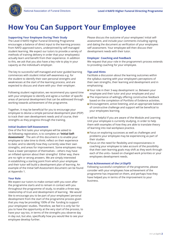

## **How You Can Support Your Employee**

### **Supporting Your Employee During Their Study**

The Level 4 NAFD Higher Funeral Directing Programme encourages a balance of direct input to the learning process from NAFD approved tutors, underpinned by self-managed student learning. We expect our tutors to provide a variety of methods of training delivery in order that your employee(s) actually learn and benefit from their experience. In addition to this, we ask that you also have a key role to play in your capacity as the individual's employer.

The key to successful self-managed and tutor guided learning commences with student initial self-awareness e.g. for the student to identify their own personal strengths and weaknesses at the start of the learning process, and are expected to discuss and share with you- their employer.

Following student registration, we recommend you spend time with your employee to identify and agree a number of specific areas of personal development that can be addressed through working towards achievement of the programme.

Together, it may be beneficial for you to encourage your employee to devise a simple personal development plan (PDP) to track their own development needs and of course, their strengths as they progress through the training.

### **Initial Student Self-Assessment**

One of the first tasks your employee will be asked to do following registration, is to complete an **'Initial Self-Assessment'** . The aim of this document is to enable your employee to take time to think; reflect on their experience to date; and to identify how they currently view their own strengths, and areas for improvement. Some employees may have a lower perception of themselves – others may have an inflated opinion about their strengths! Either way, there are no right or wrong answers. We are simply interested in establishing a starting point from which your employee and their tutor will build a development plan of learning. An example of the Initial Self-Assessment document can be found at Appendix 1.

### **Your Role**

We expect our tutors to make contact with you soon after the programme starts and to remain in contact with you throughout the programme of study, to enable a three way relationship of trust and development of learning. We would like to encourage you to be part of your employees' personal development from the start of the programme process given that you may be providing 100% of the funding to support your employees' studies. Therefore, we feel it is only fair for you to have the opportunity at the very start of the process, to have your say too, in terms of the strengths you observe day in day out, but also, specifically how you would like to see your employee develop further.

Please discuss the outcome of your employees' initial selfassessment, and include your comments including signing and dating the document as verification of your employees self assessment. Your employee will then discuss their development needs with their tutor.

#### **Employer Coaching and Feedback**

We request that your role in the programme's process extends to providing coaching for your employee.

### **Tips and Hints**

Facilitate a discussion about the learning outcomes within the syllabus starting with your employee's perceptions of their own strengths, their learning and development and in emphasising:

- Your role in their 3-way development i.e. Between your employee and their tutor and your employee and you!
- The importance of willingly offering constructive feedback based on the completion of Portfolio of Evidence activities.
- **Encouragement, active listening, and an appropriate balance** of constructive challenge and support will be beneficial to your employees learning.

It will be helpful if you are aware of the Module and Learning Unit your employee is currently studying, in order to help them with examples of how they are able to translate theory of learning into real workplace practice.

- **Focus on exploring successes as well as challenges and** problems your employee may be experiencing as part of their studies
- **Focus on the need for flexibility and responsiveness in** coaching your employee to take account of the possibility that their own learning goals may shift as they work through each of the units– based on changed work priorities or your employees development needs.

### **Post Achievement of the L4 DipFD**

Following successful completion of the programme, please consider with your employees how achievement of the programme has impacted on them, and perhaps how they have helped you in terms of the improvement to your business.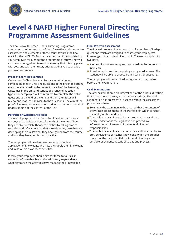

## **Level 4 NAFD Higher Funeral Directing Programme Assessment Guidelines**

The Level 4 NAFD Higher Funeral Directing Programme assessment method consists of both formative and summative assessment and elements of these count towards the final mark for the L4 DipFD. Formative assessment is completed by your employee throughout the programme of study. They will also be encouraged to discuss the learning that is taking place with you, and with their tutor, prior to asking you to provide your own comments.

### **Proof of Learning Exercises**

Online proof of learning exercises are required upon completion of each unit. The questions in the proof of learning exercises are based on the content of each of the Learning Outcomes in the unit and consist of a range of question types. Your employee will be required to complete the online questions at the end of the unit, and then their tutor will review and mark the answers to the questions. The aim of the proof of learning exercises is for students to demonstrate their understanding of the content of the unit.

### **Portfolio of Evidence Activities**

The overall purpose of the Portfolio of Evidence is for your employee to provide evidence for each of the units of how they are able to relate theory to practice by taking time to consider and reflect on what they already know; how they are developing their skills; what they have gained from the course; and how they have put this into practice.

Your employee will need to provide clarity, breath and application of knowledge, and how they apply their knowledge and skills within a variety of activities.

Ideally, your employee should aim for three to four clear examples of how they have **related theory to practice** and what difference the activities have made to their knowledge.

### **Final Written Assessment**

The final written examination consists of a number of in-depth questions which are designed to assess your employee's knowledge of the content of each unit. The exam is split into two parts:

- A series of short answer questions based on the content of each unit
- A final indepth question requiring a long word answer. The student will be able to choose from a series of questions.

Your employee will be required to register and pay online before their examination.

### **Oral Examination**

The oral examination is an integral part of the funeral directing final assessment process; it is not merely a ritual. The oral examination has an essential purpose within the assessment process as follows:

- $\blacksquare$  To enable the examiners to be assured that the content of the written assessments in the Portfolio of Evidence reflect the ability of the candidate.
- To enable the examiners to be assured that the candidate clearly understands the legislative and procedural information requirements of the funeral directing responsibilities
- To enable the examiners to assess the candidate's ability to provide evidence of his/her knowledge within the broader context of the particular field of funeral directing – the portfolio of evidence is central to this end process.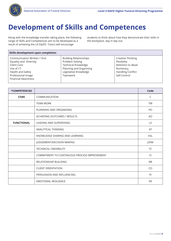

## **Development of Skills and Competences**

Along with the knowledge transfer taking place, the following range of Skills and Competences aim to be developed as a result of achieving the L4 DipFD. Tutors will encourage

students to think about how they demonstrate their skills in the workplace, day in day out.

| Skills development upon completion                                                                                                                           |                                                                                                                                                |                                                                                                                 |
|--------------------------------------------------------------------------------------------------------------------------------------------------------------|------------------------------------------------------------------------------------------------------------------------------------------------|-----------------------------------------------------------------------------------------------------------------|
| Communication Written / Oral<br>Equality and Diversity<br>Client Care<br>Use of I.T<br>Health and Safety<br>Professional Image<br><b>Financial Awareness</b> | <b>Building Relationships</b><br>Problem Solving<br><b>Technical Knowledge</b><br>Planning and Organising<br>Legislative Knowledge<br>Teamwork | Creative Thinking<br>Flexibility<br>Attention to detail<br>Numeracy<br><b>Handling Conflict</b><br>Self-Control |

| *COMPETENCIES     |                                              | Code       |
|-------------------|----------------------------------------------|------------|
| <b>CORE</b>       | COMMUNICATION                                | C          |
|                   | <b>TEAM WORK</b>                             | <b>TW</b>  |
|                   | PLANNING AND ORGANISING                      | PO         |
|                   | ACHIEVING OUTCOMES / RESULTS                 | <b>AO</b>  |
| <b>FUNCTIONAL</b> | LEADING AND SUPERVISING                      | LS         |
|                   | ANALYTICAL THINKING                          | AT         |
|                   | KNOWLEDGE SHARING AND LEARNING               | <b>KSL</b> |
|                   | JUDGEMENT/DECISION MAKING                    | J/DM       |
|                   | <b>TECHNICAL CREDIBILITY</b>                 | <b>TC</b>  |
|                   | COMMITMENT TO CONTINUOUS PROCESS IMPROVEMENT | CI         |
|                   | <b>RELATIONSHIP BUILDING</b>                 | <b>RB</b>  |
|                   | <b>CLIENT ORIENTATION</b>                    | CO         |
|                   | PERSUASION AND INFLUENCING                   | PI         |
|                   | <b>EMOTIONAL RESILIENCE</b>                  | ER         |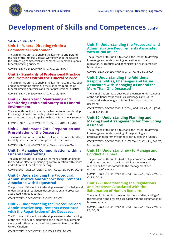

## **Development of Skills and Competences cont'd**

### **Syllabus Outline 1-12**

## **Unit 1 - Funeral Directing within a Commercial Environment**

The aim of this unit is to enable the learner to understand the role of the Funeral Director working within the UK and the increasing commercial and competitive demands upon a funeral directing business.

COMPETENCY DEVELOPMENT: TC, KSL, LS, J/DM, AT

## **Unit 2 - Standards of Professional Practice and Premises within the Funeral Service**

The aim of this unit is to enable the learner to gain knowledge and understanding relating to the standards required of funeral directing premises and that of professional practice.

COMPETENCY DEVELOPMENT: TC, KSL, LS, J/DM

## **Unit 3 - Understand Maintaining and Monitoring Health and Safety in a Funeral Environment**

The aim of this unit is to enable the learner to further develop knowledge of health and safety related legislation and regulation and how this applies within the funeral environment.

COMPETENCY DEVELOPMENT: TC, KSL, LS, J/DM, PO, J/DM

## **Unit 4 - Understand Care, Preparation and Presentation of the Deceased**

The aim of this unit is to enable the learner to understand how to safely care for, prepare and present the deceased.

COMPETENCY DEVELOPMENT: TC, KSL, ER, CO, J/D, AO, C

## **Unit 5 - Managing Communication within a Funeral Home Setting**

The aim of this unit is to develop learners' understanding of the need for effectively managing communication with clients and within the funeral home setting.

COMPETENCY DEVELOPMENT: C, TW, PO, LS, KSL, TC, PI, CO, RB

## **Unit 6 - Understanding the Procedural, Administrative and Support Requirements Associated with Bequeathal**

The purpose of this unit is to develop learners' knowledge and understanding of regulation, documentation and processes associated with bequeathal.

COMPETENCY DEVELOPMENT: C, KSL, TC, CO

## **Unit 7 - Understanding the Procedural and Administrative Requirements Associated with the Repatriation of the Deceased**

The Purpose of this unit is to develop learners understanding of the regulation, documentation and process requirements associated with repatriation of the deceased to or from the United Kingdom.

## **Unit 8 - Understanding the Procedural and Administrative Requirements Associated with Burial at Sea**

The purpose of this unit is to enable the learner to develop knowledge and understanding in relation to current regulation, procedures and administration associated with burial at sea.

COMPETENCY DEVELOPMENT: C, TC, PO, KSL, J.DM, CO

## **Unit 9 Understanding the Additional Responsibilities, Challenges and Issues Associated with Managing a Funeral for More Than One Deceased**

The aim of this unit is to develop the learners understanding of the additional responsibilities, challenges and issues associated with managing a funeral for more than one deceased.

COMPETENCY DEVELOPMENT: C, TW, AO/R, LS, AT, KSL, J/DM, TC, RB, CO, PI, ER

## **Unit 10 - Understanding Planning and Making Final Arrangements for Conducting a Funeral**

The purpose of this unit is to enable the learner to develop knowledge and understanding of the planning and preparation requirements prior to conducting the funeral.

COMPETENCY DEVELOPMENT: C, PO, TW, LS, AT, KSL, J.DM, TC, CI, RB, CO, PI

## **Unit 11 - Understand how to Manage and Conduct a Funeral**

The purpose of this unit is to develop learners' knowledge and understanding of the Funeral Directors role and responsibilities associated with the management and conducting of a funeral.

COMPETENCY DEVELOPMENT: C, PO, TW, LS, AT, KSL, J.DM, TC, CI, RB, CO, PI

## **Unit 12 - Understanding the Regulations and Processes Associated with the Exhumation of Human Remains**

The aim of this unit is to develop learners' understanding of the regulation and process associated with the exhumation of human remains.

COMPETENCY DEVELOPMENT: C, PO, TW, LS, AT, KSL, J.DM, TC, RB, CO, ER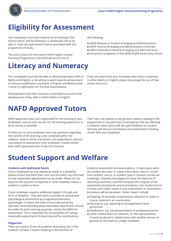

## **Eligibility for Assessment**

Your employee must have experience of working in the funeral sector and be working in a related job role to be able to meet the assessment criteria associated with this programme of study.

The entry criteria for the Level 4 NAFD Higher Funeral Directing Programme is the achievement of one of

## **Literacy and Numeracy**

Your employee must also be able to demonstrate basic skills in Maths and English, or be willing to work towards achievement of national qualification standards of English and Maths (Level 1) prior to registration for the final examinations.

All employees have free resources accessible for practice and development of key skills in either Maths or English.

## **NAFD Approved Tutors**

NAFD approved tutors are responsible for the training of your employees, and as such, we aim for the learning experience to be as varied as possible.

If either you or your employee have any questions regarding the content of the learning units contained within the syllabus; need to clarify instructions and expectations; discuss coursework or assessment; your employee should contact their NAFD approved tutor in the first instance.

Their tutor can advise on any general matters relating to the programme or any personal circumstances that are affecting a student's work; tutors will also give feedback on student learning and discuss coursework and assessment including results with your employee.

## **Student Support and Welfare**

### **Students with Additional Needs**

If your employee has any additional needs or a disability, please ensure that both their tutor and the NAFD are informed so that reasonable adjustments can be made. Please do not assume that any form of dyslexia or other disability means a student is unable to learn.

If your employee requires additional support through any form of disability – they will need to provide an educational psychological assessment by a registered education psychologist. A report will need to be produced by the specialist recommending what reasonable adjustments should be made, for both tutoring purposes, and by the NAFD for assessment. This is important for the purposes of making reasonable adjustments for learning and for examinations.

### **Plagiarism**

There are various forms of academic dishonesty but in the student's context it means cheating in the Portfolio of

Evidence assessment and examinations. It takes place when the student 'borrows' or copies information, data or results from another source, or student, past or present carried out knowingly. Cheating and plagiarism have the objective of deceiving examiners and this threatens the integrity of the assessment procedures and examinations. Any student found to have used unfair means in any examination or assessment procedure will be penalised. 'Unfair means' include:

- Cheating, for example unauthorised reference to notes or course material in an examination
- **Fabrication, e.g. reporting on arrangements never** performed
- Falsification, e.g. misrepresentation of workplace practice
- **Unfair collaboration or collusion; i.e. the representation** of work produced in collaboration with another person or persons as the work of a single candidate.

If you are aware that your employee does have a weakness in either Maths or English, please encourage the use of free online resources.

NAFD Diploma in Funeral Arranging and Administration NAFD Funeral Arranging and Administration Certificate **LAFD Certificate in Funeral Arranging and Administration** Successful completion of the NAFD DipFD Direct Entry Route.

the following: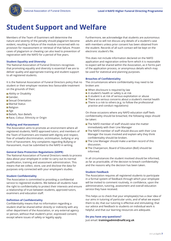

## **Student Support and Welfare**

Members of the Team of Examiners will determine the nature and severity of the penalty should plagiarism become evident, resulting in failure of the module concerned with no provision for reassessment or retrieval of that failure. Proven cases of plagiarism or cheating can also lead to prevention of registration with the NAFD for a period of five years.

### **Student Equality and Diversity**

The National Association of Funeral Directors recognises that promoting equality and diversity is essential if we are to deliver quality and appropriate training and student support to all registered students.

It is the National Association of Funeral Directors policy that no student or their employer receives less favourable treatment on the grounds of their;

- **Ability or Disability**
- Gender.
- Sexual Orientation
- Marital Status
- **Religion**
- **Age**
- **Beliefs, Non Beliefs**
- Race, Colour, Ethnicity or Origin

### **Bullying and Harassment**

The Association aims to promote an environment where all registered students; NAFD approved tutors; and members of the Team of Examiners are treated with dignity and respect, free of unlawful discrimination, victimisation, bullying or any form of harassment. Any complaints regarding Bullying or Harassment, must be submitted to the NAFD in writing.

### **General Data Protection Regulations (GDPR)**

The National Association of Funeral Directors needs to process data about your employee in order to carry out its normal qualification, training and assessment administration. This means that we collect, store, use and disclose the data for purposes only connected with your employee's studies.

### **Student Confidentiality**

The Association is committed to providing a confidential service to registered students. We believe all students have the right to confidentiality to protect their interests and ensure a relationship of trust between students, approved tutors, examiners and education staff.

### **Definition of Confidentiality**

Confidentiality means that no information regarding a student shall be shared either directly or indirectly with any other department of the Association, or any external agency or person, without that student's prior, expressed consent; except where issues of safety or legality apply.

Furthermore, we acknowledge that students are autonomous adults and so will not discuss any details of a student's case with members unless prior consent has been obtained from the student. Records of all such contact will be kept on the electronic student's file.

This does not include information declared on the NAFD application and registration online form which it is reasonable to expect will be shared within the Association, as it forms part of the application process, or anonymous details which may be used for statistical and planning purposes.

#### **Breaches of Confidentiality**

The circumstances where confidentiality may need to be broken are:

- When disclosure is required by law
- A student's health or safety is at risk
- A student is at risk of serious exploitation or abuse
- There are serious concerns about a student's mental health
- $\blacksquare$  There is a risk to others (e.g. to follow the professional practice and conduct regulations)

On those occasions where any NAFD education staff feels confidentiality should be breached, the following steps should be taken:

- The NAFD member of staff should raise the matter immediately with their Line Manager
- $\blacksquare$  The NAFD member of staff should discuss with their Line Manager the issues involved and explain why they think confidentiality should be broken.
- The Line Manager should make a written record of this discussion.
- The Chairperson, Board of Education (BoE) should be informed.

In all circumstances the student involved should be informed, as far as practicable, of the decision to breach confidentiality and the reasons why the decision has been taken.

#### **Student Feedback**

The Association requires all registered students to participate in a formal system of feedback through which your employee will be invited to comment routinely, in confidence, upon the administration, tutoring, assessment and overall education service they have received.

This helps us to check that your employee(s) has a clear idea of our aims in tutoring of particular units, and of what we expect them to do; that our tutoring is effective and stimulating; that our advice and feedback to students on individual work is helpful; and that our learning resources are adequate.

#### **Do you have any questions?**

Just email: **trainingadmin@nafd.org.uk**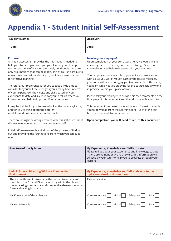

## **Appendix 1 - Student Initial Self-Assessment**

| <b>Student Name:</b> | <b>Employer:</b> |
|----------------------|------------------|
| Tutor:               | Date:            |

### **Purpose**

An initial assessment provides the information needed to help your tutor to plan with you your learning and to improve your opportunity of learning effectively. Without it there are only assumptions that can be made. It is of course possible to make some predictions about you, but it is an insecure basis for effective planning.

Therefore, our preference is for you to take a little time to consider for yourself the strengths you already have in terms of your experience, knowledge and skills based on your experience to date and likewise, for you to tell us where you know you need help to improve. Please be honest.

It may be helpful for you to take a look at the course syllabus, and for you to think about the different modules and units contained within each.

There are no right or wrong answers with this self-assessment. We just want you to tell us how you see yourself.

Initial self-assessment is a vital part of the process of finding out and providing the foundations from which you can build upon.

### **Involve your employer!**

Upon completion of your self-assessment, we would like to encourage you to discuss your current strength's and areas you feel you need help to improve with your employer.

Your employer has a key role to play while you are learning with us. As you work through each of the course modules, your tutor will be encouraging you to consider how the theory you learn while you are studying for the course actually works in practice, within your place of work.

Please ask your employer to provide his /her comments on the final page of this document and then discuss with your tutor.

This document has been produced in Word format to enable you to download from the Learning Zone. Each of the text boxes are expandable for your use.

**Upon completion, you will need to return this document** 

| <b>Structure of the Syllabus</b> | My Experience, Knowledge and Skills to date<br>Please tell us about your experience and knowledge to date<br>- there are no right or wrong answers, this information will<br>be used by your tutor to help you to progress through your<br>learning. |
|----------------------------------|------------------------------------------------------------------------------------------------------------------------------------------------------------------------------------------------------------------------------------------------------|
|                                  |                                                                                                                                                                                                                                                      |

| <b>Unit 1: Funeral Directing Within a Commercial</b><br><b>Environment</b>                                                                                                                                           | My Experience, Knowledge and Skills relevant to the<br>topics contained in this unit are: |
|----------------------------------------------------------------------------------------------------------------------------------------------------------------------------------------------------------------------|-------------------------------------------------------------------------------------------|
| The aim of this unit is to enable the learner to understand<br>the role of the Funeral Director working within the UK and<br>the increasing commercial and competitive demands upon a<br>funeral directing business. | Please describe:                                                                          |
| My Knowledge of this subject is                                                                                                                                                                                      | Comprehensive<br>Adequate<br>Good<br>Poor                                                 |
| My experience is                                                                                                                                                                                                     | Comprehensive<br>Adequate<br>Good<br>Poor                                                 |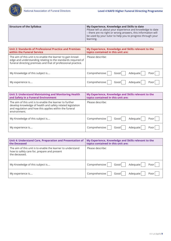

| <b>Structure of the Syllabus</b> | My Experience, Knowledge and Skills to date                  |
|----------------------------------|--------------------------------------------------------------|
|                                  | Please tell us about your experience and knowledge to date   |
|                                  | - there are no right or wrong answers, this information will |
|                                  | be used by your tutor to help you to progress through your   |
|                                  | learning.                                                    |

| <b>Unit 2: Standards of Professional Practice and Premises</b><br>within the Funeral Service                                                                                                  | My Experience, Knowledge and Skills relevant to the<br>topics contained in this unit are: |
|-----------------------------------------------------------------------------------------------------------------------------------------------------------------------------------------------|-------------------------------------------------------------------------------------------|
| The aim of this unit is to enable the learner to gain knowl-<br>edge and understanding relating to the standards required of<br>funeral directing premises and that of professional practice. | Please describe:                                                                          |
| My Knowledge of this subject is                                                                                                                                                               | Comprehensive<br>Adequate<br>Good<br>Poor                                                 |
| My experience is                                                                                                                                                                              | Comprehensive<br>Adequate<br>Good<br>Poor                                                 |

| <b>Unit 3: Understand Maintaining and Monitoring Health</b><br>and Safety in a Funeral Environment                                                                                               | My Experience, Knowledge and Skills relevant to the<br>topics contained in this unit are: |
|--------------------------------------------------------------------------------------------------------------------------------------------------------------------------------------------------|-------------------------------------------------------------------------------------------|
| The aim of this unit is to enable the learner to further<br>develop knowledge of health and safety related legislation<br>and regulation and how this applies within the funeral<br>environment. | Please describe:                                                                          |
| My Knowledge of this subject is                                                                                                                                                                  | Comprehensive<br>Adequate<br>Good<br>Poor                                                 |
| My experience is                                                                                                                                                                                 | Comprehensive<br>Adequate<br>Good<br>Poor                                                 |

| Unit 4: Understand Care, Preparation and Presentation of<br>the Deceased                                                    | My Experience, Knowledge and Skills relevant to the<br>topics contained in this unit are: |
|-----------------------------------------------------------------------------------------------------------------------------|-------------------------------------------------------------------------------------------|
| The aim of this unit is to enable the learner to understand<br>how to safely care for, prepare and present<br>the deceased. | Please describe:                                                                          |
| My Knowledge of this subject is                                                                                             | Comprehensive<br>Adequate<br>Good<br>Poor                                                 |
| My experience is                                                                                                            | Comprehensive<br>Adequate<br>Good<br>Poor                                                 |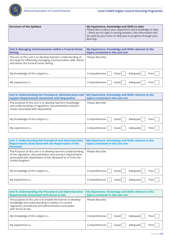

| <b>Structure of the Syllabus</b> | My Experience, Knowledge and Skills to date                  |
|----------------------------------|--------------------------------------------------------------|
|                                  | Please tell us about your experience and knowledge to date   |
|                                  | - there are no right or wrong answers, this information will |
|                                  | be used by your tutor to help you to progress through your   |
|                                  | learning.                                                    |

| Unit 5: Managing Communication within a Funeral Home<br><b>Setting</b>                                                                                                | My Experience, Knowledge and Skills relevant to the<br>topics contained in this unit are: |
|-----------------------------------------------------------------------------------------------------------------------------------------------------------------------|-------------------------------------------------------------------------------------------|
| The aim of this unit is to develop learners' understanding of<br>the need for effectively managing communication with clients<br>and within the funeral home setting. | Please describe:                                                                          |
| My Knowledge of this subject is                                                                                                                                       | Comprehensive<br>Adequate<br>Good<br>Poor                                                 |
| My experience is                                                                                                                                                      | Comprehensive<br>Adequate<br>Good  <br>Poor                                               |

| Unit 6: Understanding the Procedural, Administrative and<br><b>Support Requirements Associated with Bequeathal</b>                                          | My Experience, Knowledge and Skills relevant to the<br>topics contained in this unit are: |
|-------------------------------------------------------------------------------------------------------------------------------------------------------------|-------------------------------------------------------------------------------------------|
| The purpose of this unit is to develop learners' knowledge<br>and understanding of regulation, documentation and pro-<br>cesses associated with bequeathal. | Please describe:                                                                          |
| My Knowledge of this subject is                                                                                                                             | Comprehensive<br>Adequate<br>Good<br>Poor                                                 |
| My experience is                                                                                                                                            | Comprehensive<br>Adequate<br>Good<br>Poor l                                               |

| Unit 7: Understanding the Procedural and Administrative<br><b>Requirements Associated with the Repatriation of the</b><br><b>Deceased</b>                                                                    | My Experience, Knowledge and Skills relevant to the<br>topics contained in this unit are: |
|--------------------------------------------------------------------------------------------------------------------------------------------------------------------------------------------------------------|-------------------------------------------------------------------------------------------|
| The Purpose of this unit is to develop learners understanding<br>of the regulation, documentation and process requirements<br>associated with repatriation of the deceased to or from the<br>United Kingdom. | Please describe:                                                                          |
| My Knowledge of this subject is                                                                                                                                                                              | Comprehensive<br>Adequate<br>Good l<br>Poor                                               |
| My experience is                                                                                                                                                                                             | Comprehensive<br>Adequate<br>Good<br>Poor                                                 |

| Unit 8: Understanding the Procedural and Administrative<br><b>Requirements Associated with Burial at Sea</b>                                                                                      | My Experience, Knowledge and Skills relevant to the<br>topics contained in this unit are: |
|---------------------------------------------------------------------------------------------------------------------------------------------------------------------------------------------------|-------------------------------------------------------------------------------------------|
| The purpose of this unit is to enable the learner to develop<br>knowledge and understanding in relation to current<br>regulation, procedures and administration associated<br>with burial at sea. | Please describe:                                                                          |
| My Knowledge of this subject is                                                                                                                                                                   | Comprehensive<br>Adequate<br>Good<br>Poor                                                 |
| My experience is                                                                                                                                                                                  | Comprehensive<br>Adequate<br>Good<br>Poor                                                 |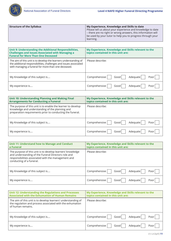

| <b>Structure of the Syllabus</b> | My Experience, Knowledge and Skills to date                  |
|----------------------------------|--------------------------------------------------------------|
|                                  | Please tell us about your experience and knowledge to date   |
|                                  | - there are no right or wrong answers, this information will |
|                                  | be used by your tutor to help you to progress through your   |
|                                  | learning.                                                    |

| Unit 9: Understanding the Additional Responsibilities,<br><b>Challenges and Issues Associated with Managing a</b><br><b>Funeral for More Than One Deceased</b>                               | My Experience, Knowledge and Skills relevant to the<br>topics contained in this unit are: |
|----------------------------------------------------------------------------------------------------------------------------------------------------------------------------------------------|-------------------------------------------------------------------------------------------|
| The aim of this unit is to develop the learners understanding of<br>the additional responsibilities, challenges and issues associated<br>with managing a funeral for more than one deceased. | Please describe:                                                                          |
| My Knowledge of this subject is                                                                                                                                                              | Comprehensive  <br>Adequate<br>Good<br>Poor                                               |
| My experience is                                                                                                                                                                             | Comprehensive<br>Adequate<br>Good  <br>Poor                                               |

| Unit 10: Understanding Planning and Making Final<br><b>Arrangements for Conducting a Funeral</b>                                                                             | My Experience, Knowledge and Skills relevant to the<br>topics contained in this unit are: |
|------------------------------------------------------------------------------------------------------------------------------------------------------------------------------|-------------------------------------------------------------------------------------------|
| The purpose of this unit is to enable the learner to develop<br>knowledge and understanding of the planning and<br>preparation requirements prior to conducting the funeral. | Please describe:                                                                          |
| My Knowledge of this subject is                                                                                                                                              | Comprehensive<br>Adequate<br>Good l<br>Poor                                               |
| My experience is                                                                                                                                                             | Comprehensive<br>Adequate<br>Good<br>Poor                                                 |

| Unit 11: Understand how to Manage and Conduct<br><b>a</b> Funeral                                                                                                                                    | My Experience, Knowledge and Skills relevant to the<br>topics contained in this unit are: |
|------------------------------------------------------------------------------------------------------------------------------------------------------------------------------------------------------|-------------------------------------------------------------------------------------------|
| The purpose of this unit is to develop learners' knowledge<br>and understanding of the Funeral Directors role and<br>responsibilities associated with the management and<br>conducting of a funeral. | Please describe:                                                                          |
| My Knowledge of this subject is                                                                                                                                                                      | Comprehensive<br>Adequate<br>Good  <br>Poor                                               |
| My experience is                                                                                                                                                                                     | Comprehensive<br>Adequate<br>Goodl<br>Poor                                                |

| <b>Unit 12: Understanding the Regulations and Processes</b><br><b>Associated with the Exhumation of Human Remains</b>                           | My Experience, Knowledge and Skills relevant to the<br>topics contained in this unit are: |
|-------------------------------------------------------------------------------------------------------------------------------------------------|-------------------------------------------------------------------------------------------|
| The aim of this unit is to develop learners' understanding of<br>the regulation and process associated with the exhumation<br>of human remains. | Please describe:                                                                          |
| My Knowledge of this subject is                                                                                                                 | Comprehensive<br>Adequate<br>Good<br>Poor                                                 |
| My experience is                                                                                                                                | Comprehensive<br>Adequate<br>Good<br>Poor                                                 |